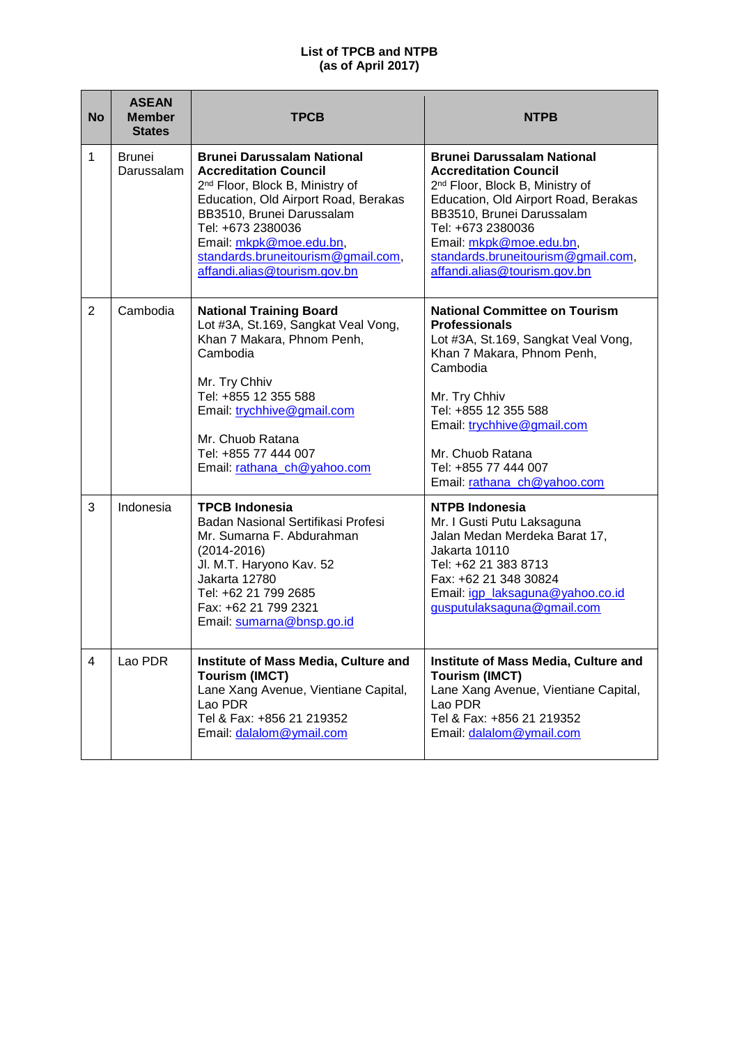| <b>No</b> | <b>ASEAN</b><br><b>Member</b><br><b>States</b> | <b>TPCB</b>                                                                                                                                                                                                                                                                                                 | <b>NTPB</b>                                                                                                                                                                                                                                                                                                 |
|-----------|------------------------------------------------|-------------------------------------------------------------------------------------------------------------------------------------------------------------------------------------------------------------------------------------------------------------------------------------------------------------|-------------------------------------------------------------------------------------------------------------------------------------------------------------------------------------------------------------------------------------------------------------------------------------------------------------|
| 1         | Brunei<br>Darussalam                           | <b>Brunei Darussalam National</b><br><b>Accreditation Council</b><br>2 <sup>nd</sup> Floor, Block B, Ministry of<br>Education, Old Airport Road, Berakas<br>BB3510, Brunei Darussalam<br>Tel: +673 2380036<br>Email: mkpk@moe.edu.bn,<br>standards.bruneitourism@gmail.com,<br>affandi.alias@tourism.gov.bn | <b>Brunei Darussalam National</b><br><b>Accreditation Council</b><br>2 <sup>nd</sup> Floor, Block B, Ministry of<br>Education, Old Airport Road, Berakas<br>BB3510, Brunei Darussalam<br>Tel: +673 2380036<br>Email: mkpk@moe.edu.bn,<br>standards.bruneitourism@gmail.com,<br>affandi.alias@tourism.gov.bn |
| 2         | Cambodia                                       | <b>National Training Board</b><br>Lot #3A, St.169, Sangkat Veal Vong,<br>Khan 7 Makara, Phnom Penh,<br>Cambodia<br>Mr. Try Chhiv<br>Tel: +855 12 355 588<br>Email: trychhive@gmail.com<br>Mr. Chuob Ratana<br>Tel: +855 77 444 007<br>Email: rathana_ch@yahoo.com                                           | <b>National Committee on Tourism</b><br><b>Professionals</b><br>Lot #3A, St.169, Sangkat Veal Vong,<br>Khan 7 Makara, Phnom Penh,<br>Cambodia<br>Mr. Try Chhiv<br>Tel: +855 12 355 588<br>Email: trychhive@gmail.com<br>Mr. Chuob Ratana<br>Tel: +855 77 444 007<br>Email: rathana_ch@yahoo.com             |
| 3         | Indonesia                                      | <b>TPCB Indonesia</b><br>Badan Nasional Sertifikasi Profesi<br>Mr. Sumarna F. Abdurahman<br>$(2014 - 2016)$<br>Jl. M.T. Haryono Kav. 52<br>Jakarta 12780<br>Tel: +62 21 799 2685<br>Fax: +62 21 799 2321<br>Email: sumarna@bnsp.go.id                                                                       | <b>NTPB Indonesia</b><br>Mr. I Gusti Putu Laksaguna<br>Jalan Medan Merdeka Barat 17,<br>Jakarta 10110<br>Tel: +62 21 383 8713<br>Fax: +62 21 348 30824<br>Email: igp laksaguna@yahoo.co.id<br>gusputulaksaguna@gmail.com                                                                                    |
| 4         | Lao PDR                                        | Institute of Mass Media, Culture and<br><b>Tourism (IMCT)</b><br>Lane Xang Avenue, Vientiane Capital,<br>Lao PDR<br>Tel & Fax: +856 21 219352<br>Email: dalalom@ymail.com                                                                                                                                   | Institute of Mass Media, Culture and<br><b>Tourism (IMCT)</b><br>Lane Xang Avenue, Vientiane Capital,<br>Lao PDR<br>Tel & Fax: +856 21 219352<br>Email: dalalom@ymail.com                                                                                                                                   |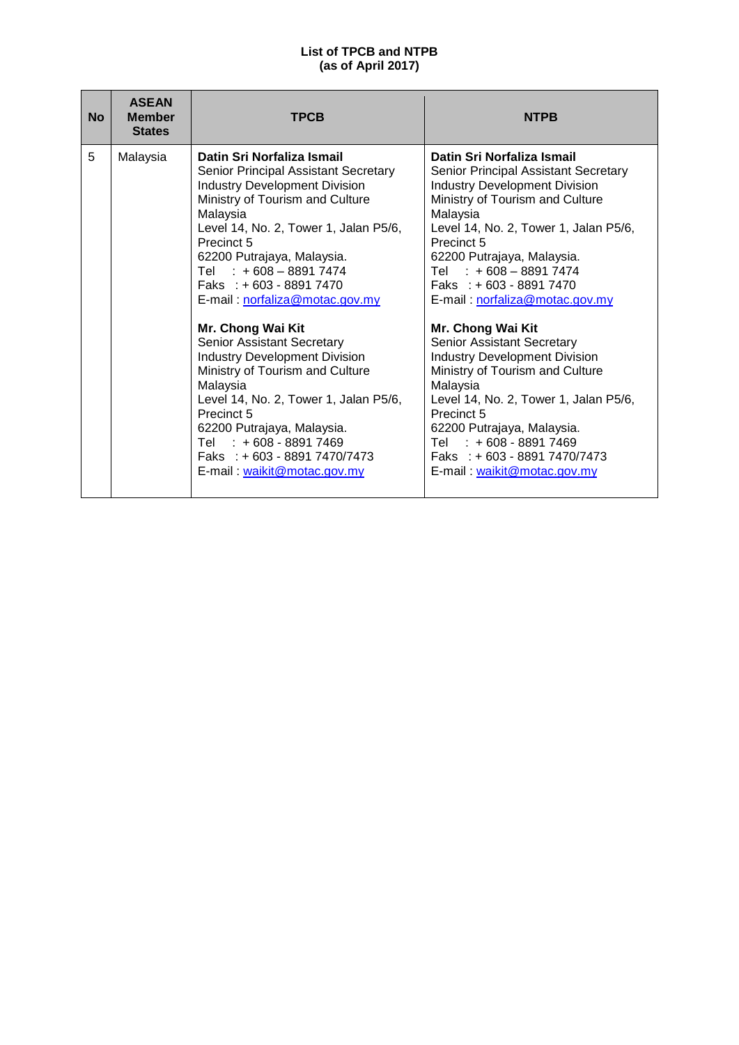| <b>No</b> | <b>ASEAN</b><br><b>Member</b><br><b>States</b> | <b>TPCB</b>                                                                                                                                                                                                                                                                                                                                                                                                                                                                                                                                                                                                                                                      | <b>NTPB</b>                                                                                                                                                                                                                                                                                                                                                                                                                                                                                                                                                                                                                                                      |
|-----------|------------------------------------------------|------------------------------------------------------------------------------------------------------------------------------------------------------------------------------------------------------------------------------------------------------------------------------------------------------------------------------------------------------------------------------------------------------------------------------------------------------------------------------------------------------------------------------------------------------------------------------------------------------------------------------------------------------------------|------------------------------------------------------------------------------------------------------------------------------------------------------------------------------------------------------------------------------------------------------------------------------------------------------------------------------------------------------------------------------------------------------------------------------------------------------------------------------------------------------------------------------------------------------------------------------------------------------------------------------------------------------------------|
| 5         | Malaysia                                       | Datin Sri Norfaliza Ismail<br>Senior Principal Assistant Secretary<br><b>Industry Development Division</b><br>Ministry of Tourism and Culture<br>Malaysia<br>Level 14, No. 2, Tower 1, Jalan P5/6,<br>Precinct 5<br>62200 Putrajaya, Malaysia.<br>Tel $: +608 - 88917474$<br>Faks : $+603 - 88917470$<br>E-mail: norfaliza@motac.gov.my<br>Mr. Chong Wai Kit<br>Senior Assistant Secretary<br><b>Industry Development Division</b><br>Ministry of Tourism and Culture<br>Malaysia<br>Level 14, No. 2, Tower 1, Jalan P5/6,<br>Precinct 5<br>62200 Putrajaya, Malaysia.<br>Tel : +608 - 8891 7469<br>Faks : $+603 - 88917470/7473$<br>E-mail: waikit@motac.gov.my | Datin Sri Norfaliza Ismail<br>Senior Principal Assistant Secretary<br><b>Industry Development Division</b><br>Ministry of Tourism and Culture<br>Malaysia<br>Level 14, No. 2, Tower 1, Jalan P5/6,<br>Precinct 5<br>62200 Putrajaya, Malaysia.<br>$: +608 - 88917474$<br>Tel<br>Faks: $+603 - 88917470$<br>E-mail: norfaliza@motac.gov.my<br>Mr. Chong Wai Kit<br>Senior Assistant Secretary<br><b>Industry Development Division</b><br>Ministry of Tourism and Culture<br>Malaysia<br>Level 14, No. 2, Tower 1, Jalan P5/6,<br>Precinct 5<br>62200 Putrajaya, Malaysia.<br>Tel : +608 - 8891 7469<br>Faks: +603 - 8891 7470/7473<br>E-mail: waikit@motac.gov.my |
|           |                                                |                                                                                                                                                                                                                                                                                                                                                                                                                                                                                                                                                                                                                                                                  |                                                                                                                                                                                                                                                                                                                                                                                                                                                                                                                                                                                                                                                                  |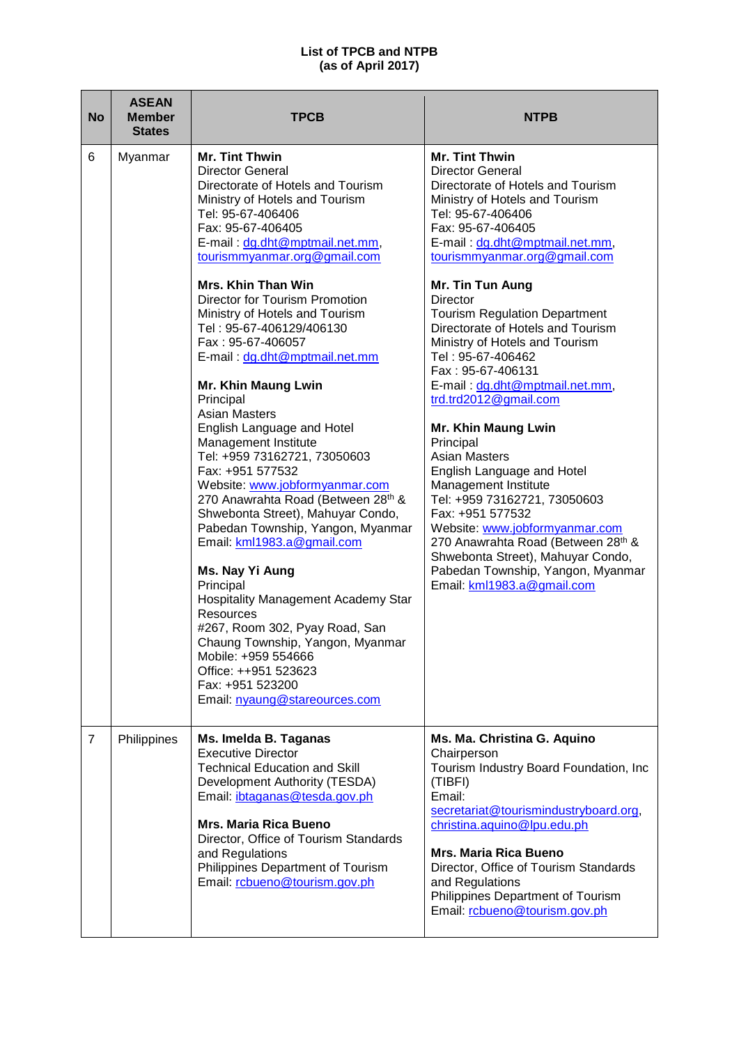| <b>No</b>      | <b>ASEAN</b><br><b>Member</b><br><b>States</b> | <b>TPCB</b>                                                                                                                                                                                                                                                                                                                                                                                                                                                                                                                                                                                                                                                                                                                                                                                                                                                                                                                                                                                                                                              | <b>NTPB</b>                                                                                                                                                                                                                                                                                                                                                                                                                                                                                                                                                                                                                                                                                                                                                                                                                                          |
|----------------|------------------------------------------------|----------------------------------------------------------------------------------------------------------------------------------------------------------------------------------------------------------------------------------------------------------------------------------------------------------------------------------------------------------------------------------------------------------------------------------------------------------------------------------------------------------------------------------------------------------------------------------------------------------------------------------------------------------------------------------------------------------------------------------------------------------------------------------------------------------------------------------------------------------------------------------------------------------------------------------------------------------------------------------------------------------------------------------------------------------|------------------------------------------------------------------------------------------------------------------------------------------------------------------------------------------------------------------------------------------------------------------------------------------------------------------------------------------------------------------------------------------------------------------------------------------------------------------------------------------------------------------------------------------------------------------------------------------------------------------------------------------------------------------------------------------------------------------------------------------------------------------------------------------------------------------------------------------------------|
| 6              | Myanmar                                        | <b>Mr. Tint Thwin</b><br><b>Director General</b><br>Directorate of Hotels and Tourism<br>Ministry of Hotels and Tourism<br>Tel: 95-67-406406<br>Fax: 95-67-406405<br>E-mail: dg.dht@mptmail.net.mm,<br>tourismmyanmar.org@gmail.com<br><b>Mrs. Khin Than Win</b><br><b>Director for Tourism Promotion</b><br>Ministry of Hotels and Tourism<br>Tel: 95-67-406129/406130<br>Fax: 95-67-406057<br>E-mail: dg.dht@mptmail.net.mm<br>Mr. Khin Maung Lwin<br>Principal<br><b>Asian Masters</b><br>English Language and Hotel<br>Management Institute<br>Tel: +959 73162721, 73050603<br>Fax: +951 577532<br>Website: www.jobformyanmar.com<br>270 Anawrahta Road (Between 28th &<br>Shwebonta Street), Mahuyar Condo,<br>Pabedan Township, Yangon, Myanmar<br>Email: kml1983.a@gmail.com<br>Ms. Nay Yi Aung<br>Principal<br>Hospitality Management Academy Star<br><b>Resources</b><br>#267, Room 302, Pyay Road, San<br>Chaung Township, Yangon, Myanmar<br>Mobile: +959 554666<br>Office: ++951 523623<br>Fax: +951 523200<br>Email: nyaung@stareources.com | <b>Mr. Tint Thwin</b><br><b>Director General</b><br>Directorate of Hotels and Tourism<br>Ministry of Hotels and Tourism<br>Tel: 95-67-406406<br>Fax: 95-67-406405<br>E-mail: dg.dht@mptmail.net.mm,<br>tourismmyanmar.org@gmail.com<br>Mr. Tin Tun Aung<br>Director<br><b>Tourism Regulation Department</b><br>Directorate of Hotels and Tourism<br>Ministry of Hotels and Tourism<br>Tel: 95-67-406462<br>Fax: 95-67-406131<br>E-mail: dg.dht@mptmail.net.mm,<br>trd.trd2012@gmail.com<br><b>Mr. Khin Maung Lwin</b><br>Principal<br><b>Asian Masters</b><br>English Language and Hotel<br>Management Institute<br>Tel: +959 73162721, 73050603<br>Fax: +951 577532<br>Website: www.jobformyanmar.com<br>270 Anawrahta Road (Between 28th &<br>Shwebonta Street), Mahuyar Condo,<br>Pabedan Township, Yangon, Myanmar<br>Email: kml1983.a@gmail.com |
| $\overline{7}$ | Philippines                                    | Ms. Imelda B. Taganas<br><b>Executive Director</b><br><b>Technical Education and Skill</b><br>Development Authority (TESDA)<br>Email: <i>ibtaganas@tesda.gov.ph</i><br><b>Mrs. Maria Rica Bueno</b><br>Director, Office of Tourism Standards<br>and Regulations<br>Philippines Department of Tourism<br>Email: rcbueno@tourism.gov.ph                                                                                                                                                                                                                                                                                                                                                                                                                                                                                                                                                                                                                                                                                                                    | Ms. Ma. Christina G. Aquino<br>Chairperson<br>Tourism Industry Board Foundation, Inc<br>(TIBFI)<br>Email:<br>secretariat@tourismindustryboard.org,<br>christina.aquino@lpu.edu.ph<br><b>Mrs. Maria Rica Bueno</b><br>Director, Office of Tourism Standards<br>and Regulations<br>Philippines Department of Tourism<br>Email: rcbueno@tourism.gov.ph                                                                                                                                                                                                                                                                                                                                                                                                                                                                                                  |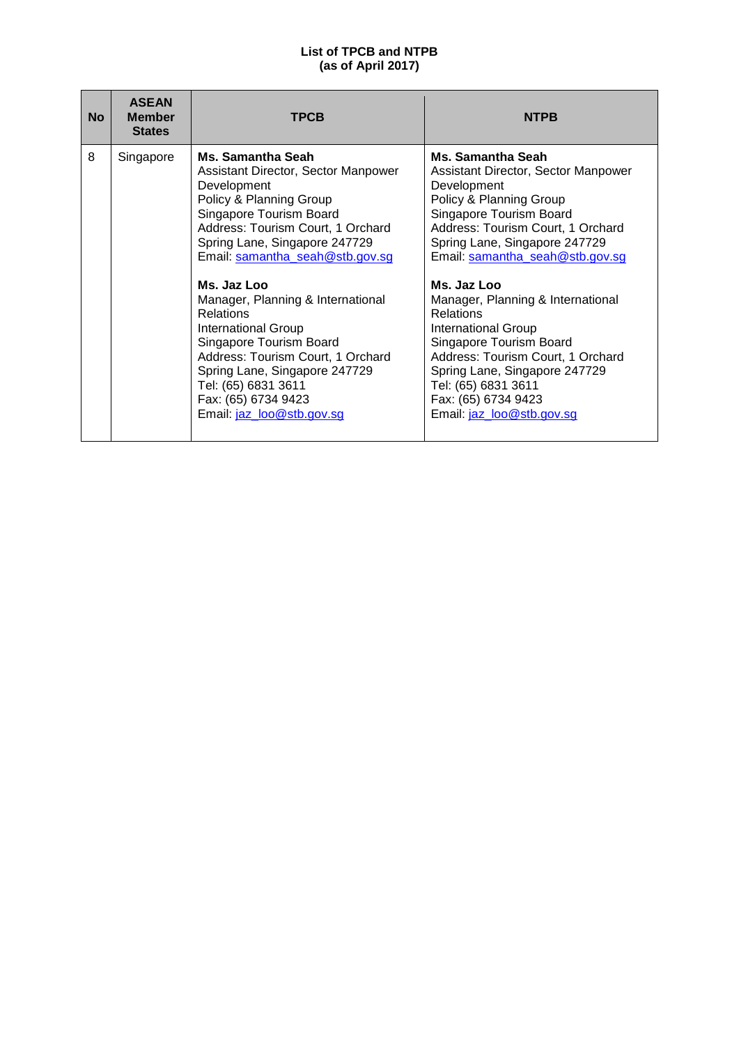| <b>No</b> | <b>ASEAN</b><br><b>Member</b><br><b>States</b> | <b>TPCB</b>                                                                                                                                                                                                                                                                                                                                                                                                                                                                                                              | <b>NTPB</b>                                                                                                                                                                                                                                                                                                                                                                                                                                                                                                |
|-----------|------------------------------------------------|--------------------------------------------------------------------------------------------------------------------------------------------------------------------------------------------------------------------------------------------------------------------------------------------------------------------------------------------------------------------------------------------------------------------------------------------------------------------------------------------------------------------------|------------------------------------------------------------------------------------------------------------------------------------------------------------------------------------------------------------------------------------------------------------------------------------------------------------------------------------------------------------------------------------------------------------------------------------------------------------------------------------------------------------|
| 8         | Singapore                                      | Ms. Samantha Seah<br>Assistant Director, Sector Manpower<br>Development<br>Policy & Planning Group<br>Singapore Tourism Board<br>Address: Tourism Court, 1 Orchard<br>Spring Lane, Singapore 247729<br>Email: samantha_seah@stb.gov.sg<br>Ms. Jaz Loo<br>Manager, Planning & International<br><b>Relations</b><br><b>International Group</b><br>Singapore Tourism Board<br>Address: Tourism Court, 1 Orchard<br>Spring Lane, Singapore 247729<br>Tel: (65) 6831 3611<br>Fax: (65) 6734 9423<br>Email: jaz_loo@stb.gov.sg | Ms. Samantha Seah<br>Assistant Director, Sector Manpower<br>Development<br>Policy & Planning Group<br>Singapore Tourism Board<br>Address: Tourism Court, 1 Orchard<br>Spring Lane, Singapore 247729<br>Email: samantha_seah@stb.gov.sg<br>Ms. Jaz Loo<br>Manager, Planning & International<br>Relations<br>International Group<br>Singapore Tourism Board<br>Address: Tourism Court, 1 Orchard<br>Spring Lane, Singapore 247729<br>Tel: (65) 6831 3611<br>Fax: (65) 6734 9423<br>Email: jaz_loo@stb.gov.sg |